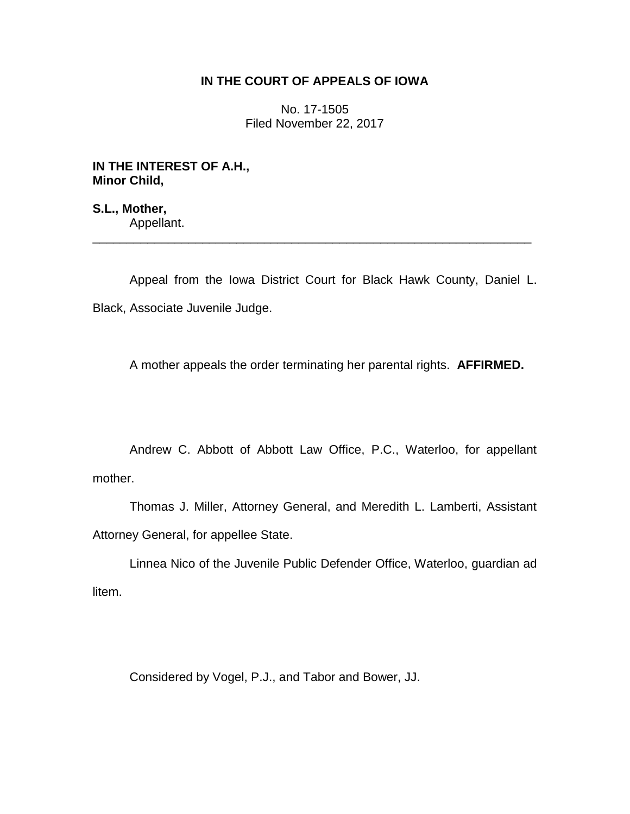## **IN THE COURT OF APPEALS OF IOWA**

No. 17-1505 Filed November 22, 2017

**IN THE INTEREST OF A.H., Minor Child,**

**S.L., Mother,** Appellant.

Appeal from the Iowa District Court for Black Hawk County, Daniel L. Black, Associate Juvenile Judge.

\_\_\_\_\_\_\_\_\_\_\_\_\_\_\_\_\_\_\_\_\_\_\_\_\_\_\_\_\_\_\_\_\_\_\_\_\_\_\_\_\_\_\_\_\_\_\_\_\_\_\_\_\_\_\_\_\_\_\_\_\_\_\_\_

A mother appeals the order terminating her parental rights. **AFFIRMED.**

Andrew C. Abbott of Abbott Law Office, P.C., Waterloo, for appellant mother.

Thomas J. Miller, Attorney General, and Meredith L. Lamberti, Assistant Attorney General, for appellee State.

Linnea Nico of the Juvenile Public Defender Office, Waterloo, guardian ad litem.

Considered by Vogel, P.J., and Tabor and Bower, JJ.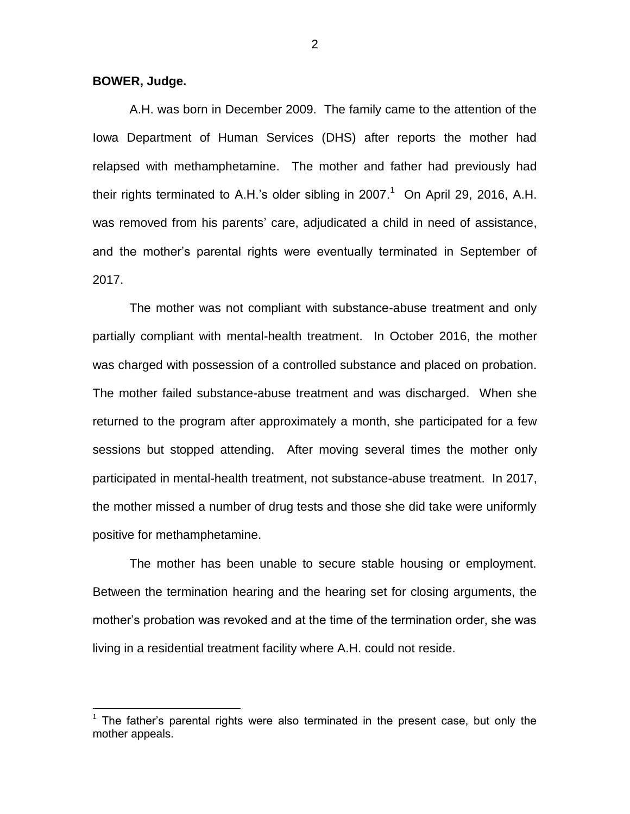**BOWER, Judge.**

 $\overline{a}$ 

A.H. was born in December 2009. The family came to the attention of the Iowa Department of Human Services (DHS) after reports the mother had relapsed with methamphetamine. The mother and father had previously had their rights terminated to A.H.'s older sibling in 2007. $1$  On April 29, 2016, A.H. was removed from his parents' care, adjudicated a child in need of assistance, and the mother's parental rights were eventually terminated in September of 2017.

The mother was not compliant with substance-abuse treatment and only partially compliant with mental-health treatment. In October 2016, the mother was charged with possession of a controlled substance and placed on probation. The mother failed substance-abuse treatment and was discharged. When she returned to the program after approximately a month, she participated for a few sessions but stopped attending. After moving several times the mother only participated in mental-health treatment, not substance-abuse treatment. In 2017, the mother missed a number of drug tests and those she did take were uniformly positive for methamphetamine.

The mother has been unable to secure stable housing or employment. Between the termination hearing and the hearing set for closing arguments, the mother's probation was revoked and at the time of the termination order, she was living in a residential treatment facility where A.H. could not reside.

 $1$  The father's parental rights were also terminated in the present case, but only the mother appeals.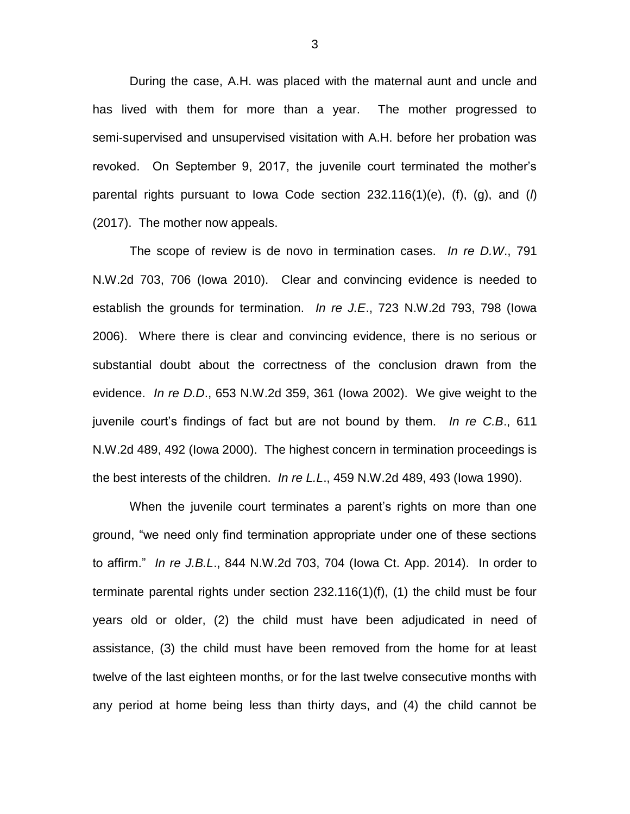During the case, A.H. was placed with the maternal aunt and uncle and has lived with them for more than a year. The mother progressed to semi-supervised and unsupervised visitation with A.H. before her probation was revoked. On September 9, 2017, the juvenile court terminated the mother's parental rights pursuant to Iowa Code section 232.116(1)(e), (f), (g), and (*l*) (2017). The mother now appeals.

The scope of review is de novo in termination cases. *In re D.W*., 791 N.W.2d 703, 706 (Iowa 2010). Clear and convincing evidence is needed to establish the grounds for termination. *In re J.E*., 723 N.W.2d 793, 798 (Iowa 2006). Where there is clear and convincing evidence, there is no serious or substantial doubt about the correctness of the conclusion drawn from the evidence. *In re D.D*., 653 N.W.2d 359, 361 (Iowa 2002). We give weight to the juvenile court's findings of fact but are not bound by them. *In re C.B*., 611 N.W.2d 489, 492 (Iowa 2000). The highest concern in termination proceedings is the best interests of the children. *In re L.L*., 459 N.W.2d 489, 493 (Iowa 1990).

When the juvenile court terminates a parent's rights on more than one ground, "we need only find termination appropriate under one of these sections to affirm." *In re J.B.L*., 844 N.W.2d 703, 704 (Iowa Ct. App. 2014). In order to terminate parental rights under section 232.116(1)(f), (1) the child must be four years old or older, (2) the child must have been adjudicated in need of assistance, (3) the child must have been removed from the home for at least twelve of the last eighteen months, or for the last twelve consecutive months with any period at home being less than thirty days, and (4) the child cannot be

3